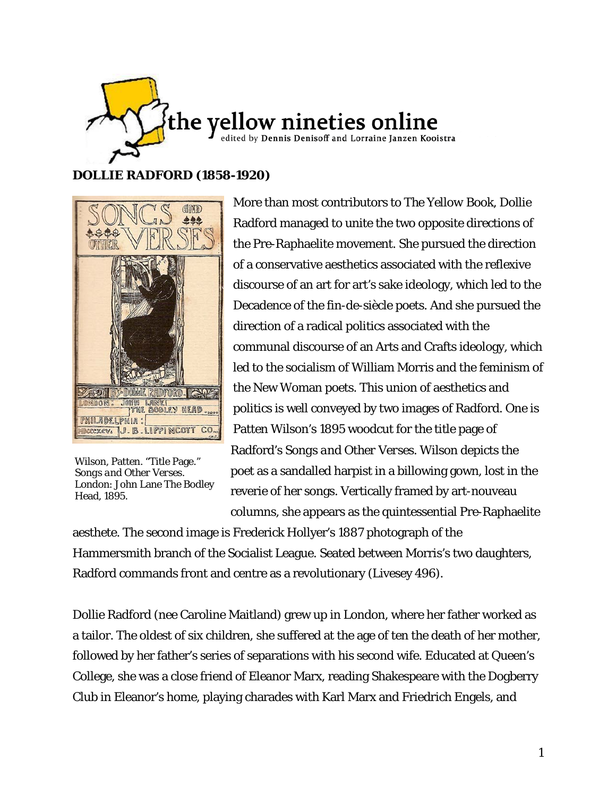

# **DOLLIE RADFORD (1858-1920)**



Wilson, Patten. "Title Page." *Songs and Other Verses*. London: John Lane The Bodley Head, 1895.

More than most contributors to *The Yellow Book*, Dollie Radford managed to unite the two opposite directions of the Pre-Raphaelite movement. She pursued the direction of a conservative aesthetics associated with the reflexive discourse of an art for art's sake ideology, which led to the Decadence of the fin-de-siècle poets. And she pursued the direction of a radical politics associated with the communal discourse of an Arts and Crafts ideology, which led to the socialism of William Morris and the feminism of the New Woman poets. This union of aesthetics and politics is well conveyed by two images of Radford. One is Patten Wilson's 1895 woodcut for the title page of Radford's *Songs and Other Verses*. Wilson depicts the poet as a sandalled harpist in a billowing gown, lost in the reverie of her songs. Vertically framed by art-nouveau columns, she appears as the quintessential Pre-Raphaelite

aesthete. The second image is Frederick Hollyer's 1887 photograph of the Hammersmith branch of the Socialist League. Seated between Morris's two daughters, Radford commands front and centre as a revolutionary (Livesey 496).

Dollie Radford (nee Caroline Maitland) grew up in London, where her father worked as a tailor. The oldest of six children, she suffered at the age of ten the death of her mother, followed by her father's series of separations with his second wife. Educated at Queen's College, she was a close friend of Eleanor Marx, reading Shakespeare with the Dogberry Club in Eleanor's home, playing charades with Karl Marx and Friedrich Engels, and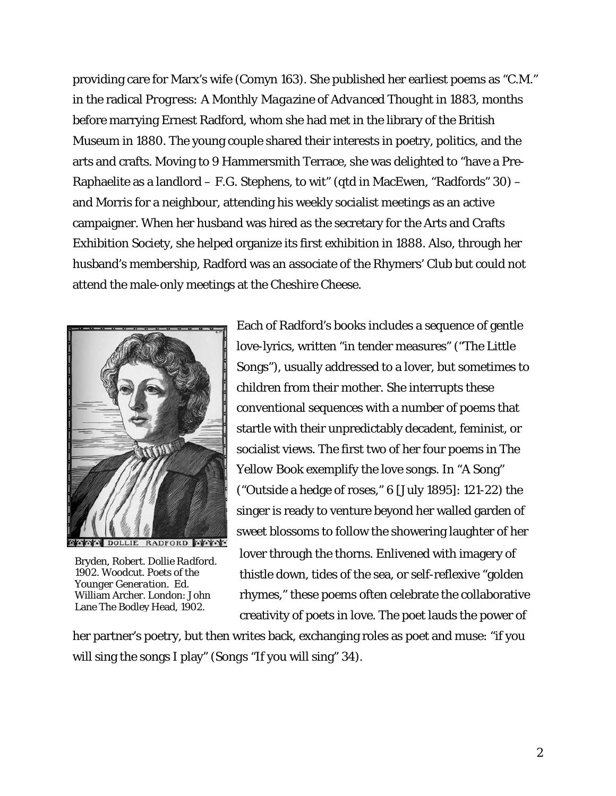providing care for Marx's wife (Comyn 163). She published her earliest poems as "C.M." in the radical *Progress: A Monthly Magazine of Advanced Thought* in 1883, months before marrying Ernest Radford, whom she had met in the library of the British Museum in 1880. The young couple shared their interests in poetry, politics, and the arts and crafts. Moving to 9 Hammersmith Terrace, she was delighted to "have a Pre-Raphaelite as a landlord – F.G. Stephens, to wit" (qtd in MacEwen, "Radfords" 30) – and Morris for a neighbour, attending his weekly socialist meetings as an active campaigner. When her husband was hired as the secretary for the Arts and Crafts Exhibition Society, she helped organize its first exhibition in 1888. Also, through her husband's membership, Radford was an associate of the Rhymers' Club but could not attend the male-only meetings at the Cheshire Cheese.



Bryden, Robert. *Dollie Radford*. 1902. Woodcut. *Poets of the Younger Generation*. Ed. William Archer. London: John Lane The Bodley Head, 1902.

Each of Radford's books includes a sequence of gentle love-lyrics, written "in tender measures" ("The Little Songs"), usually addressed to a lover, but sometimes to children from their mother. She interrupts these conventional sequences with a number of poems that startle with their unpredictably decadent, feminist, or socialist views. The first two of her four poems in *The Yellow Book* exemplify the love songs. In "A Song" ("Outside a hedge of roses," 6 [July 1895]: 121-22) the singer is ready to venture beyond her walled garden of sweet blossoms to follow the showering laughter of her lover through the thorns. Enlivened with imagery of thistle down, tides of the sea, or self-reflexive "golden rhymes," these poems often celebrate the collaborative creativity of poets in love. The poet lauds the power of

her partner's poetry, but then writes back, exchanging roles as poet and muse: "if you will sing the songs I play" (*Songs* "If you will sing" 34).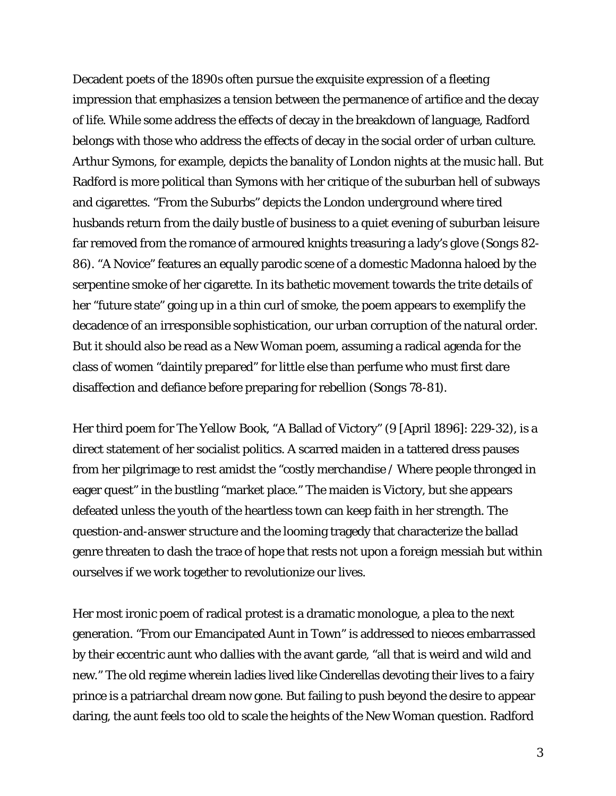Decadent poets of the 1890s often pursue the exquisite expression of a fleeting impression that emphasizes a tension between the permanence of artifice and the decay of life. While some address the effects of decay in the breakdown of language, Radford belongs with those who address the effects of decay in the social order of urban culture. Arthur Symons, for example, depicts the banality of London nights at the music hall. But Radford is more political than Symons with her critique of the suburban hell of subways and cigarettes. "From the Suburbs" depicts the London underground where tired husbands return from the daily bustle of business to a quiet evening of suburban leisure far removed from the romance of armoured knights treasuring a lady's glove (*Songs* 82- 86). "A Novice" features an equally parodic scene of a domestic Madonna haloed by the serpentine smoke of her cigarette. In its bathetic movement towards the trite details of her "future state" going up in a thin curl of smoke, the poem appears to exemplify the decadence of an irresponsible sophistication, our urban corruption of the natural order. But it should also be read as a New Woman poem, assuming a radical agenda for the class of women "daintily prepared" for little else than perfume who must first dare disaffection and defiance before preparing for rebellion (*Songs* 78-81).

Her third poem for *The Yellow Book*, "A Ballad of Victory" (9 [April 1896]: 229-32), is a direct statement of her socialist politics. A scarred maiden in a tattered dress pauses from her pilgrimage to rest amidst the "costly merchandise / Where people thronged in eager quest" in the bustling "market place." The maiden is Victory, but she appears defeated unless the youth of the heartless town can keep faith in her strength. The question-and-answer structure and the looming tragedy that characterize the ballad genre threaten to dash the trace of hope that rests not upon a foreign messiah but within ourselves if we work together to revolutionize our lives.

Her most ironic poem of radical protest is a dramatic monologue, a plea to the next generation. "From our Emancipated Aunt in Town" is addressed to nieces embarrassed by their eccentric aunt who dallies with the avant garde, "all that is weird and wild and new." The old regime wherein ladies lived like Cinderellas devoting their lives to a fairy prince is a patriarchal dream now gone. But failing to push beyond the desire to appear daring, the aunt feels too old to scale the heights of the New Woman question. Radford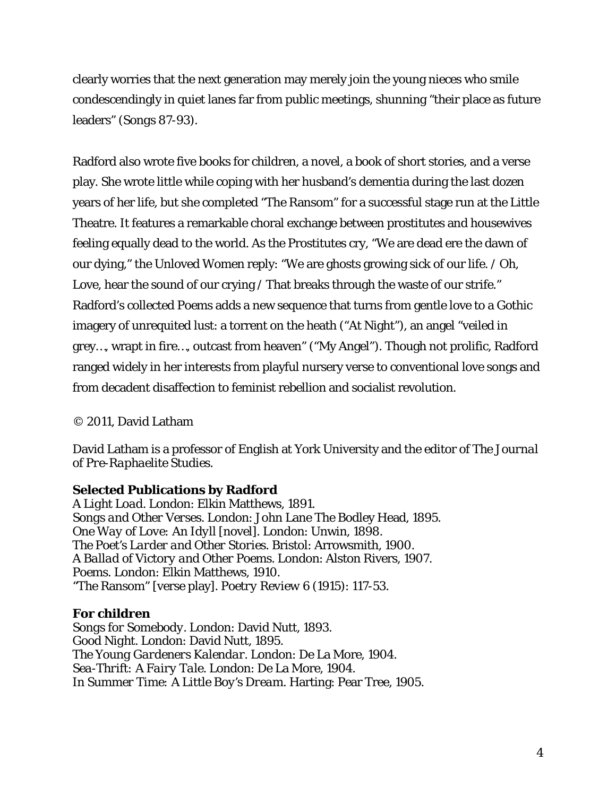clearly worries that the next generation may merely join the young nieces who smile condescendingly in quiet lanes far from public meetings, shunning "their place as future leaders" (*Songs* 87-93).

Radford also wrote five books for children, a novel, a book of short stories, and a verse play. She wrote little while coping with her husband's dementia during the last dozen years of her life, but she completed "The Ransom" for a successful stage run at the Little Theatre. It features a remarkable choral exchange between prostitutes and housewives feeling equally dead to the world. As the Prostitutes cry, "We are dead ere the dawn of our dying," the Unloved Women reply: "We are ghosts growing sick of our life. / Oh, Love, hear the sound of our crying / That breaks through the waste of our strife." Radford's collected *Poems* adds a new sequence that turns from gentle love to a Gothic imagery of unrequited lust: a torrent on the heath ("At Night"), an angel "veiled in grey…, wrapt in fire…, outcast from heaven" ("My Angel"). Though not prolific, Radford ranged widely in her interests from playful nursery verse to conventional love songs and from decadent disaffection to feminist rebellion and socialist revolution.

## © 2011, David Latham

David Latham is a professor of English at York University and the editor of *The Journal of Pre-Raphaelite Studies*.

### **Selected Publications by Radford**

*A Light Load*. London: Elkin Matthews, 1891. *Songs and Other Verses*. London: John Lane The Bodley Head, 1895. *One Way of Love: An Idyll* [novel]. London: Unwin, 1898. *The Poet's Larder and Other Stories*. Bristol: Arrowsmith, 1900. *A Ballad of Victory and Other Poems*. London: Alston Rivers, 1907. *Poems*. London: Elkin Matthews, 1910. "The Ransom" [verse play]. *Poetry Review* 6 (1915): 117-53.

### **For children**

*Songs for Somebody*. London: David Nutt, 1893. *Good Night*. London: David Nutt, 1895. *The Young Gardeners Kalendar*. London: De La More, 1904. *Sea-Thrift: A Fairy Tale*. London: De La More, 1904. *In Summer Time: A Little Boy's Dream*. Harting: Pear Tree, 1905.